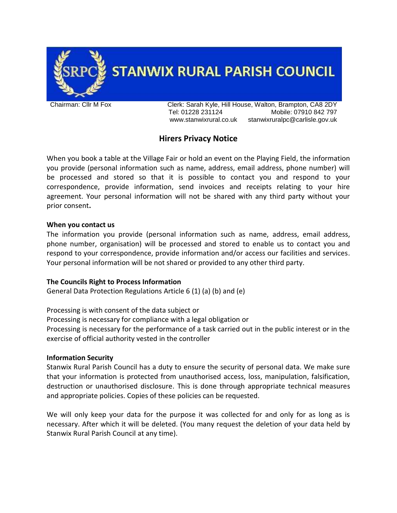

**STANWIX RURAL PARISH COUNCIL** 

Chairman: Cllr M Fox Clerk: Sarah Kyle, Hill House, Walton, Brampton, CA8 2DY Tel: 01228 231124 Mobile: 07910 842 797 www.stanwixrural.co.uk stanwixruralpc@carlisle.gov.uk

# **Hirers Privacy Notice**

When you book a table at the Village Fair or hold an event on the Playing Field, the information you provide (personal information such as name, address, email address, phone number) will be processed and stored so that it is possible to contact you and respond to your correspondence, provide information, send invoices and receipts relating to your hire agreement. Your personal information will not be shared with any third party without your prior consent**.**

## **When you contact us**

The information you provide (personal information such as name, address, email address, phone number, organisation) will be processed and stored to enable us to contact you and respond to your correspondence, provide information and/or access our facilities and services. Your personal information will be not shared or provided to any other third party.

# **The Councils Right to Process Information**

General Data Protection Regulations Article 6 (1) (a) (b) and (e)

Processing is with consent of the data subject or Processing is necessary for compliance with a legal obligation or

Processing is necessary for the performance of a task carried out in the public interest or in the exercise of official authority vested in the controller

#### **Information Security**

Stanwix Rural Parish Council has a duty to ensure the security of personal data. We make sure that your information is protected from unauthorised access, loss, manipulation, falsification, destruction or unauthorised disclosure. This is done through appropriate technical measures and appropriate policies. Copies of these policies can be requested.

We will only keep your data for the purpose it was collected for and only for as long as is necessary. After which it will be deleted. (You many request the deletion of your data held by Stanwix Rural Parish Council at any time).